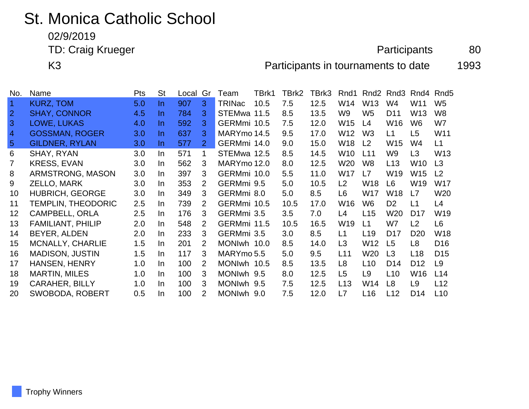## St. Monica Catholic School

02/9/2019

TD: Craig Krueger 80

K3 **Participants in tournaments to date** 1993

| No.            | Name                      | <b>Pts</b> | <b>St</b> | Local | Gr                    | Team        | TBrk1 | TBrk2 | TBrk3 | Rnd1            |                 | Rnd <sub>2</sub> Rnd <sub>3</sub> | Rnd4            | Rnd <sub>5</sub> |
|----------------|---------------------------|------------|-----------|-------|-----------------------|-------------|-------|-------|-------|-----------------|-----------------|-----------------------------------|-----------------|------------------|
| $\vert$ 1      | <b>KURZ, TOM</b>          | 5.0        | In.       | 907   | 3                     | TRINac      | 10.5  | 7.5   | 12.5  | W14             | W13             | W4                                | W11             | W5               |
| $\overline{2}$ | <b>SHAY, CONNOR</b>       | 4.5        | In.       | 784   | 3.                    | STEMwa 11.5 |       | 8.5   | 13.5  | W9              | W <sub>5</sub>  | D <sub>11</sub>                   | W <sub>13</sub> | W8               |
| 3              | LOWE, LUKAS               | 4.0        | In.       | 592   | 3.                    | GERMmi 10.5 |       | 7.5   | 12.0  | W <sub>15</sub> | L4              | W16                               | W6              | W7               |
| $\overline{4}$ | <b>GOSSMAN, ROGER</b>     | 3.0        | In.       | 637   | 3                     | MARYmo 14.5 |       | 9.5   | 17.0  | W12             | W <sub>3</sub>  | L1                                | L <sub>5</sub>  | W11              |
| $\sqrt{5}$     | <b>GILDNER, RYLAN</b>     | 3.0        | In.       | 577   | $\overline{2}$        | GERMmi 14.0 |       | 9.0   | 15.0  | W18             | L2              | W15                               | W4              | L1               |
| 6              | SHAY, RYAN                | 3.0        | In.       | 571   | 1                     | STEMwa 12.5 |       | 8.5   | 14.5  | W10             | L11             | W9                                | L3              | W <sub>13</sub>  |
| 7              | <b>KRESS, EVAN</b>        | 3.0        | In        | 562   | 3                     | MARYmo 12.0 |       | 8.0   | 12.5  | W20             | W <sub>8</sub>  | L13                               | W10             | L3               |
| 8              | ARMSTRONG, MASON          | 3.0        | In        | 397   | 3                     | GERMmi 10.0 |       | 5.5   | 11.0  | W17             | L7              | W19                               | W15             | L <sub>2</sub>   |
| 9              | ZELLO, MARK               | 3.0        | In.       | 353   | 2                     | GERMmi 9.5  |       | 5.0   | 10.5  | L2              | W18             | L <sub>6</sub>                    | W19             | W17              |
| 10             | <b>HUBRICH, GEORGE</b>    | 3.0        | In.       | 349   | 3                     | GERMmi 8.0  |       | 5.0   | 8.5   | L6              | W17             | W18                               | L7              | W20              |
| 11             | <b>TEMPLIN, THEODORIC</b> | 2.5        | In.       | 739   | $\mathbf{2}^{\prime}$ | GERMmi 10.5 |       | 10.5  | 17.0  | W16             | W6              | D <sub>2</sub>                    | L1              | L4               |
| 12             | <b>CAMPBELL, ORLA</b>     | 2.5        | In.       | 176   | 3                     | GERMmi 3.5  |       | 3.5   | 7.0   | L4              | L15             | W20                               | D <sub>17</sub> | W19              |
| 13             | <b>FAMILIANT, PHILIP</b>  | 2.0        | In.       | 548   | 2                     | GERMmi 11.5 |       | 10.5  | 16.5  | W19             | L1              | W7                                | L2              | L <sub>6</sub>   |
| 14             | BEYER, ALDEN              | 2.0        | In.       | 233   | 3                     | GERMmi 3.5  |       | 3.0   | 8.5   | L1              | L <sub>19</sub> | D <sub>17</sub>                   | D <sub>20</sub> | W18              |
| 15             | <b>MCNALLY, CHARLIE</b>   | 1.5        | In.       | 201   | $\mathcal{P}$         | MONIwh 10.0 |       | 8.5   | 14.0  | L <sub>3</sub>  | W <sub>12</sub> | L <sub>5</sub>                    | L <sub>8</sub>  | D <sub>16</sub>  |
| 16             | <b>MADISON, JUSTIN</b>    | 1.5        | In.       | 117   | 3                     | MARYmo 5.5  |       | 5.0   | 9.5   | L11             | W20             | L3                                | L <sub>18</sub> | D <sub>15</sub>  |
| 17             | <b>HANSEN, HENRY</b>      | 1.0        | In.       | 100   | 2                     | MONIwh 10.5 |       | 8.5   | 13.5  | L8              | L <sub>10</sub> | D <sub>14</sub>                   | D <sub>12</sub> | L <sub>9</sub>   |
| 18             | <b>MARTIN, MILES</b>      | 1.0        | In.       | 100   | 3                     | MONIwh 9.5  |       | 8.0   | 12.5  | L5              | L9              | L10                               | W16             | L14              |
| 19             | <b>CARAHER, BILLY</b>     | 1.0        | In.       | 100   | 3                     | MONIwh 9.5  |       | 7.5   | 12.5  | L13             | W14             | L <sub>8</sub>                    | L <sub>9</sub>  | L12              |
| 20             | <b>SWOBODA, ROBERT</b>    | 0.5        | In.       | 100   | 2                     | MONIwh 9.0  |       | 7.5   | 12.0  | L7              | L <sub>16</sub> | L12                               | D <sub>14</sub> | L10              |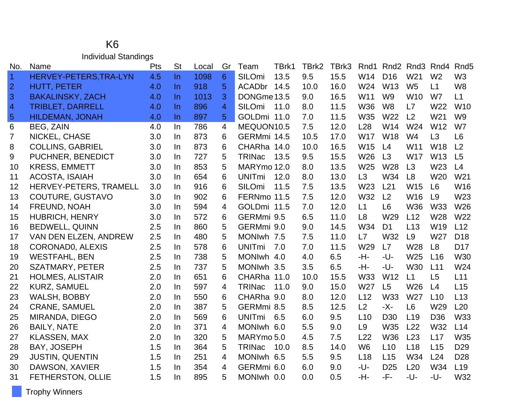## K6 Individual Standings

| No.            | Name                    | Pts | <b>St</b> | Local | Gr | Team          | TBrk1 | TBrk2 | TBrk3 | Rnd1           |                 | Rnd <sub>2</sub> Rnd <sub>3</sub> | Rnd4            | Rnd <sub>5</sub> |
|----------------|-------------------------|-----|-----------|-------|----|---------------|-------|-------|-------|----------------|-----------------|-----------------------------------|-----------------|------------------|
| $\overline{1}$ | HERVEY-PETERS, TRA-LYN  | 4.5 | $\ln$     | 1098  | 6  | SILOmi        | 13.5  | 9.5   | 15.5  | W14            | D <sub>16</sub> | W21                               | W <sub>2</sub>  | W <sub>3</sub>   |
| $\overline{2}$ | <b>HUTT, PETER</b>      | 4.0 | In.       | 918   | 5  | ACADbr 14.5   |       | 10.0  | 16.0  | W24            | W <sub>13</sub> | W <sub>5</sub>                    | L1              | W <sub>8</sub>   |
| $\overline{3}$ | <b>BAKALINSKY, ZACH</b> | 4.0 | In        | 1013  | 3  | DONGme 13.5   |       | 9.0   | 16.5  | W11            | W <sub>9</sub>  | W <sub>10</sub>                   | W7              | L1               |
| $\overline{4}$ | <b>TRIBLET, DARRELL</b> | 4.0 | In.       | 896   | 4  | <b>SILOmi</b> | 11.0  | 8.0   | 11.5  | <b>W36</b>     | W <sub>8</sub>  | L7                                | W <sub>22</sub> | W <sub>10</sub>  |
| $\overline{5}$ | <b>HILDEMAN, JONAH</b>  | 4.0 | In        | 897   | 5  | GOLDmi 11.0   |       | 7.0   | 11.5  | W35            | W22             | L2                                | W <sub>21</sub> | W9               |
| 6              | <b>BEG, ZAIN</b>        | 4.0 | In.       | 786   | 4  | MEQUON10.5    |       | 7.5   | 12.0  | L28            | W14             | W24                               | W <sub>12</sub> | W7               |
| $\overline{7}$ | NICKEL, CHASE           | 3.0 | In.       | 873   | 6  | GERMmi 14.5   |       | 10.5  | 17.0  | <b>W17</b>     | W18             | W4                                | L3              | L <sub>6</sub>   |
| 8              | <b>COLLINS, GABRIEL</b> | 3.0 | In.       | 873   | 6  | CHARha 14.0   |       | 10.0  | 16.5  | W15            | L4              | W11                               | <b>W18</b>      | L2               |
| 9              | PUCHNER, BENEDICT       | 3.0 | In        | 727   | 5  | <b>TRINac</b> | 13.5  | 9.5   | 15.5  | W26            | L3              | <b>W17</b>                        | W13             | L5               |
| 10             | <b>KRESS, EMMETT</b>    | 3.0 | In.       | 853   | 5  | MARYmo 12.0   |       | 8.0   | 13.5  | W25            | W28             | L3                                | W23             | L4               |
| 11             | <b>ACOSTA, ISAIAH</b>   | 3.0 | In.       | 654   | 6  | <b>UNITmi</b> | 12.0  | 8.0   | 13.0  | L3             | W34             | L <sub>8</sub>                    | W20             | W21              |
| 12             | HERVEY-PETERS, TRAMELL  | 3.0 | In.       | 916   | 6  | SILOmi        | 11.5  | 7.5   | 13.5  | W23            | L21             | W <sub>15</sub>                   | L6              | W16              |
| 13             | COUTURE, GUSTAVO        | 3.0 | In.       | 902   | 6  | FERNmo 11.5   |       | 7.5   | 12.0  | W32            | L2              | W16                               | L9              | W23              |
| 14             | FREUND, NOAH            | 3.0 | In.       | 594   | 4  | GOLDmi 11.5   |       | 7.0   | 12.0  | L1             | L <sub>6</sub>  | <b>W36</b>                        | <b>W33</b>      | W26              |
| 15             | <b>HUBRICH, HENRY</b>   | 3.0 | In        | 572   | 6  | GERMmi 9.5    |       | 6.5   | 11.0  | L <sub>8</sub> | W29             | L12                               | W28             | W22              |
| 16             | <b>BEDWELL, QUINN</b>   | 2.5 | In.       | 860   | 5  | GERMmi 9.0    |       | 9.0   | 14.5  | W34            | D <sub>1</sub>  | L13                               | W19             | L12              |
| 17             | VAN DEN ELZEN, ANDREW   | 2.5 | In.       | 480   | 5  | MONIwh 7.5    |       | 7.5   | 11.0  | L7             | W32             | L <sub>9</sub>                    | W27             | D <sub>18</sub>  |
| 18             | <b>CORONADO, ALEXIS</b> | 2.5 | In.       | 578   | 6  | <b>UNITmi</b> | 7.0   | 7.0   | 11.5  | W29            | L7              | W28                               | L8              | D <sub>17</sub>  |
| 19             | <b>WESTFAHL, BEN</b>    | 2.5 | In.       | 738   | 5  | MONIwh 4.0    |       | 4.0   | 6.5   | -H-            | -U-             | W25                               | L16             | <b>W30</b>       |
| 20             | <b>SZATMARY, PETER</b>  | 2.5 | In.       | 737   | 5  | MONIwh 3.5    |       | 3.5   | 6.5   | -H-            | -U-             | <b>W30</b>                        | L11             | W24              |
| 21             | <b>HOLMES, ALISTAIR</b> | 2.0 | In        | 651   | 6  | CHARha 11.0   |       | 10.0  | 15.5  | W33            | W12             | L1                                | L5              | L11              |
| 22             | <b>KURZ, SAMUEL</b>     | 2.0 | In.       | 597   | 4  | <b>TRINac</b> | 11.0  | 9.0   | 15.0  | W27            | L5              | W <sub>26</sub>                   | L4              | L15              |
| 23             | <b>WALSH, BOBBY</b>     | 2.0 | In.       | 550   | 6  | CHARha 9.0    |       | 8.0   | 12.0  | L12            | W33             | W27                               | L10             | L13              |
| 24             | <b>CRANE, SAMUEL</b>    | 2.0 | In.       | 387   | 5  | GERMmi 8.5    |       | 8.5   | 12.5  | L2             | -X-             | L <sub>6</sub>                    | W29             | L20              |
| 25             | MIRANDA, DIEGO          | 2.0 | In.       | 569   | 6  | <b>UNITmi</b> | 6.5   | 6.0   | 9.5   | L10            | D <sub>30</sub> | L <sub>19</sub>                   | D <sub>36</sub> | W33              |
| 26             | <b>BAILY, NATE</b>      | 2.0 | In.       | 371   | 4  | MONIwh 6.0    |       | 5.5   | 9.0   | L9             | W35             | L22                               | W32             | L14              |
| 27             | <b>KLASSEN, MAX</b>     | 2.0 | In        | 320   | 5  | MARYmo 5.0    |       | 4.5   | 7.5   | L22            | W36             | L23                               | L17             | W35              |
| 28             | <b>BAY, JOSEPH</b>      | 1.5 | In.       | 364   | 5  | <b>TRINac</b> | 10.0  | 8.5   | 14.0  | W <sub>6</sub> | L10             | L18                               | L15             | D <sub>29</sub>  |
| 29             | <b>JUSTIN, QUENTIN</b>  | 1.5 | In        | 251   | 4  | MONIwh 6.5    |       | 5.5   | 9.5   | L18            | L15             | W34                               | L24             | D <sub>28</sub>  |
| 30             | DAWSON, XAVIER          | 1.5 | In.       | 354   | 4  | GERMmi 6.0    |       | 6.0   | 9.0   | -U-            | D <sub>25</sub> | L20                               | W34             | L <sub>19</sub>  |
| 31             | FETHERSTON, OLLIE       | 1.5 | In        | 895   | 5  | MONIwh 0.0    |       | 0.0   | 0.5   | -H-            | -F-             | -U-                               | -U-             | W32              |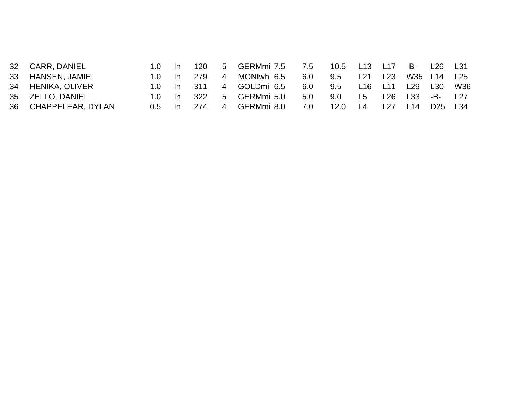|    | 32 CARR, DANIEL   | -In | 120  |   | 5 GERMmi 7.5 7.5 |     | 10.5          | L13             |                 | L17 -B- L26 L31 |                 |                 |
|----|-------------------|-----|------|---|------------------|-----|---------------|-----------------|-----------------|-----------------|-----------------|-----------------|
|    | 33 HANSEN, JAMIE  | -In | -279 | 4 | MONIwh 6.5       | 6.0 | $9.5^{\circ}$ | L <sub>21</sub> | L23             |                 | W35 L14 L25     |                 |
|    | 34 HENIKA, OLIVER | -In | -311 |   | 4 GOLDmi 6.5     | 6.0 | $9.5^{\circ}$ | L16             | L <sub>11</sub> | L29             | L30             | W36             |
|    | 35 ZELLO, DANIEL  | -In | 322  | 5 | GERMmi 5.0       | 5.0 | 9.0           | L5              | L26             | L33             | -B- 1           | L <sub>27</sub> |
| 36 | CHAPPELEAR, DYLAN | In. | 274  | 4 | GERMmi 8.0       | 7.0 | 12.0          |                 | L27             | L14             | D <sub>25</sub> | L34             |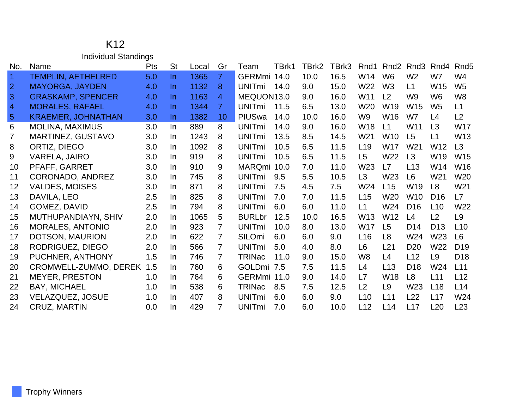## K12 Individual Standings

| No.            | Name                      | <b>Pts</b> | <b>St</b> | Local | Gr             | Team                     | TBrk1 | TBrk2 | TBrk3 | Rnd1            | Rnd <sub>2</sub> | Rnd <sub>3</sub> | Rnd4            | Rnd <sub>5</sub> |
|----------------|---------------------------|------------|-----------|-------|----------------|--------------------------|-------|-------|-------|-----------------|------------------|------------------|-----------------|------------------|
| $\vert$ 1      | <b>TEMPLIN, AETHELRED</b> | 5.0        | In.       | 1365  | $\overline{7}$ | GERMmi 14.0              |       | 10.0  | 16.5  | W14             | W <sub>6</sub>   | W <sub>2</sub>   | W7              | W4               |
| $\overline{2}$ | <b>MAYORGA, JAYDEN</b>    | 4.0        | In.       | 1132  | 8              | <b>UNIT<sub>mi</sub></b> | 14.0  | 9.0   | 15.0  | W22             | W <sub>3</sub>   | L1               | W15             | W <sub>5</sub>   |
| 3              | <b>GRASKAMP, SPENCER</b>  | 4.0        | $\ln$     | 1163  | 4              | MEQUON13.0               |       | 9.0   | 16.0  | W11             | L2               | W <sub>9</sub>   | W <sub>6</sub>  | W <sub>8</sub>   |
| $\overline{4}$ | <b>MORALES, RAFAEL</b>    | 4.0        | $\ln$     | 1344  | $\overline{7}$ | <b>UNIT<sub>mi</sub></b> | 11.5  | 6.5   | 13.0  | W <sub>20</sub> | W <sub>19</sub>  | W <sub>15</sub>  | W <sub>5</sub>  | L1               |
| $5\phantom{.}$ | <b>KRAEMER, JOHNATHAN</b> | 3.0        | In.       | 1382  | 10             | PIUSwa                   | 14.0  | 10.0  | 16.0  | W9              | W16              | W7               | L4              | L2               |
| 6              | <b>MOLINA, MAXIMUS</b>    | 3.0        | In        | 889   | 8              | <b>UNITmi</b>            | 14.0  | 9.0   | 16.0  | W18             | L1               | W11              | L3              | W17              |
| $\overline{7}$ | <b>MARTINEZ, GUSTAVO</b>  | 3.0        | In.       | 1243  | 8              | <b>UNITmi</b>            | 13.5  | 8.5   | 14.5  | W21             | W <sub>10</sub>  | L5               | L1              | W13              |
| 8              | ORTIZ, DIEGO              | 3.0        | In.       | 1092  | 8              | <b>UNITmi</b>            | 10.5  | 6.5   | 11.5  | L <sub>19</sub> | <b>W17</b>       | W <sub>21</sub>  | W12             | L3               |
| 9              | VARELA, JAIRO             | 3.0        | In.       | 919   | 8              | <b>UNITmi</b>            | 10.5  | 6.5   | 11.5  | L <sub>5</sub>  | W22              | L3               | W19             | W15              |
| 10             | PFAFF, GARRET             | 3.0        | In.       | 910   | 9              | MARQmi 10.0              |       | 7.0   | 11.0  | W <sub>23</sub> | L7               | L13              | W14             | W16              |
| 11             | CORONADO, ANDREZ          | 3.0        | In.       | 745   | 8              | <b>UNITmi</b>            | 9.5   | 5.5   | 10.5  | L3              | W <sub>23</sub>  | L <sub>6</sub>   | W21             | W20              |
| 12             | <b>VALDES, MOISES</b>     | 3.0        | In        | 871   | 8              | <b>UNITmi</b>            | 7.5   | 4.5   | 7.5   | W24             | L15              | W19              | L <sub>8</sub>  | W21              |
| 13             | DAVILA, LEO               | 2.5        | In.       | 825   | 8              | <b>UNITmi</b>            | 7.0   | 7.0   | 11.5  | L15             | W20              | W10              | D <sub>16</sub> | L7               |
| 14             | GOMEZ, DAVID              | 2.5        | In.       | 794   | 8              | <b>UNITmi</b>            | 6.0   | 6.0   | 11.0  | L1              | W24              | D <sub>16</sub>  | L10             | W22              |
| 15             | MUTHUPANDIAYN, SHIV       | 2.0        | In.       | 1065  | 5              | <b>BURLbr</b>            | 12.5  | 10.0  | 16.5  | W13             | W <sub>12</sub>  | L4               | L2              | L <sub>9</sub>   |
| 16             | <b>MORALES, ANTONIO</b>   | 2.0        | In        | 923   | $\overline{7}$ | <b>UNITmi</b>            | 10.0  | 8.0   | 13.0  | <b>W17</b>      | L5               | D <sub>14</sub>  | D <sub>13</sub> | L10              |
| 17             | DOTSON, MAURION           | 2.0        | In.       | 622   | $\overline{7}$ | SILOmi                   | 6.0   | 6.0   | 9.0   | L16             | L8               | W24              | W23             | L <sub>6</sub>   |
| 18             | RODRIGUEZ, DIEGO          | 2.0        | In.       | 566   | $\overline{7}$ | <b>UNITmi</b>            | 5.0   | 4.0   | 8.0   | L6              | L21              | D <sub>20</sub>  | W22             | D <sub>19</sub>  |
| 19             | PUCHNER, ANTHONY          | 1.5        | In.       | 746   | $\overline{7}$ | <b>TRINac</b>            | 11.0  | 9.0   | 15.0  | W <sub>8</sub>  | L4               | L12              | L <sub>9</sub>  | D <sub>18</sub>  |
| 20             | CROMWELL-ZUMMO, DEREK     | 1.5        | In.       | 760   | 6              | <b>GOLDmi</b>            | 7.5   | 7.5   | 11.5  | L4              | L13              | D <sub>18</sub>  | W24             | L11              |
| 21             | <b>MEYER, PRESTON</b>     | 1.0        | In.       | 764   | 6              | GERMmi 11.0              |       | 9.0   | 14.0  | L7              | W18              | L <sub>8</sub>   | L11             | L12              |
| 22             | <b>BAY, MICHAEL</b>       | 1.0        | In        | 538   | 6              | <b>TRINac</b>            | 8.5   | 7.5   | 12.5  | L2              | L <sub>9</sub>   | W <sub>23</sub>  | L18             | L14              |
| 23             | VELAZQUEZ, JOSUE          | 1.0        | In.       | 407   | 8              | <b>UNITmi</b>            | 6.0   | 6.0   | 9.0   | L10             | L11              | L22              | L17             | W24              |
| 24             | CRUZ, MARTIN              | 0.0        | $\ln$     | 429   | $\overline{7}$ | <b>UNITmi</b>            | 7.0   | 6.0   | 10.0  | L12             | L14              | L17              | L20             | L23              |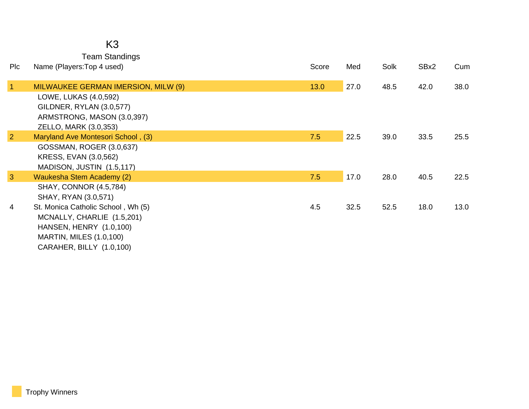Team Standings

| <b>PIc</b>     | Name (Players: Top 4 used)                                                               | Score | Med  | Solk | SBx2 | Cum  |
|----------------|------------------------------------------------------------------------------------------|-------|------|------|------|------|
| 1              | MILWAUKEE GERMAN IMERSION, MILW (9)<br>LOWE, LUKAS (4.0,592)<br>GILDNER, RYLAN (3.0,577) | 13.0  | 27.0 | 48.5 | 42.0 | 38.0 |
|                | ARMSTRONG, MASON (3.0,397)<br>ZELLO, MARK (3.0,353)                                      |       |      |      |      |      |
| $\overline{2}$ | Maryland Ave Montesori School, (3)                                                       | 7.5   | 22.5 | 39.0 | 33.5 | 25.5 |
|                | GOSSMAN, ROGER (3.0,637)<br>KRESS, EVAN (3.0,562)<br>MADISON, JUSTIN (1.5,117)           |       |      |      |      |      |
| $\overline{3}$ | Waukesha Stem Academy (2)                                                                | 7.5   | 17.0 | 28.0 | 40.5 | 22.5 |
|                | <b>SHAY, CONNOR (4.5,784)</b><br>SHAY, RYAN (3.0,571)                                    |       |      |      |      |      |
| 4              | St. Monica Catholic School, Wh (5)                                                       | 4.5   | 32.5 | 52.5 | 18.0 | 13.0 |
|                | MCNALLY, CHARLIE (1.5,201)                                                               |       |      |      |      |      |
|                | HANSEN, HENRY (1.0,100)                                                                  |       |      |      |      |      |
|                | <b>MARTIN, MILES (1.0,100)</b>                                                           |       |      |      |      |      |
|                | CARAHER, BILLY (1.0,100)                                                                 |       |      |      |      |      |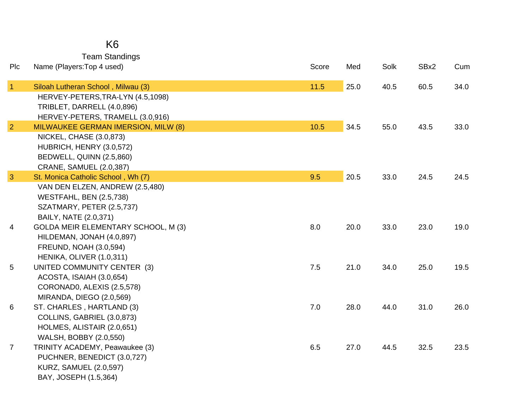## K6 Team Standings

| Plc                  | Name (Players: Top 4 used)                                          | Score  | Med  | Solk | SBx2 | Cum  |
|----------------------|---------------------------------------------------------------------|--------|------|------|------|------|
| $\blacktriangleleft$ | Siloah Lutheran School, Milwau (3)                                  | $11.5$ | 25.0 | 40.5 | 60.5 | 34.0 |
|                      | HERVEY-PETERS, TRA-LYN (4.5, 1098)                                  |        |      |      |      |      |
|                      | TRIBLET, DARRELL (4.0,896)                                          |        |      |      |      |      |
|                      | HERVEY-PETERS, TRAMELL (3.0,916)                                    |        |      |      |      |      |
| $\overline{2}$       | MILWAUKEE GERMAN IMERSION, MILW (8)                                 | 10.5   | 34.5 | 55.0 | 43.5 | 33.0 |
|                      | <b>NICKEL, CHASE (3.0,873)</b>                                      |        |      |      |      |      |
|                      | HUBRICH, HENRY (3.0,572)                                            |        |      |      |      |      |
|                      | BEDWELL, QUINN (2.5,860)                                            |        |      |      |      |      |
|                      | CRANE, SAMUEL (2.0,387)                                             |        |      |      |      |      |
| 3                    | St. Monica Catholic School, Wh (7)                                  | 9.5    | 20.5 | 33.0 | 24.5 | 24.5 |
|                      | VAN DEN ELZEN, ANDREW (2.5,480)                                     |        |      |      |      |      |
|                      | <b>WESTFAHL, BEN (2.5,738)</b>                                      |        |      |      |      |      |
|                      | SZATMARY, PETER (2.5,737)                                           |        |      |      |      |      |
| 4                    | BAILY, NATE (2.0,371)<br><b>GOLDA MEIR ELEMENTARY SCHOOL, M (3)</b> | 8.0    | 20.0 | 33.0 | 23.0 | 19.0 |
|                      | HILDEMAN, JONAH (4.0,897)                                           |        |      |      |      |      |
|                      | <b>FREUND, NOAH (3.0,594)</b>                                       |        |      |      |      |      |
|                      | HENIKA, OLIVER (1.0,311)                                            |        |      |      |      |      |
| 5                    | UNITED COMMUNITY CENTER (3)                                         | 7.5    | 21.0 | 34.0 | 25.0 | 19.5 |
|                      | ACOSTA, ISAIAH (3.0,654)                                            |        |      |      |      |      |
|                      | CORONADO, ALEXIS (2.5,578)                                          |        |      |      |      |      |
|                      | MIRANDA, DIEGO (2.0,569)                                            |        |      |      |      |      |
| 6                    | ST. CHARLES, HARTLAND (3)                                           | 7.0    | 28.0 | 44.0 | 31.0 | 26.0 |
|                      | COLLINS, GABRIEL (3.0,873)                                          |        |      |      |      |      |
|                      | HOLMES, ALISTAIR (2.0,651)                                          |        |      |      |      |      |
|                      | WALSH, BOBBY (2.0,550)                                              |        |      |      |      |      |
| $\overline{7}$       | TRINITY ACADEMY, Peawaukee (3)                                      | 6.5    | 27.0 | 44.5 | 32.5 | 23.5 |
|                      | PUCHNER, BENEDICT (3.0,727)                                         |        |      |      |      |      |
|                      | <b>KURZ, SAMUEL (2.0,597)</b>                                       |        |      |      |      |      |
|                      | BAY, JOSEPH (1.5,364)                                               |        |      |      |      |      |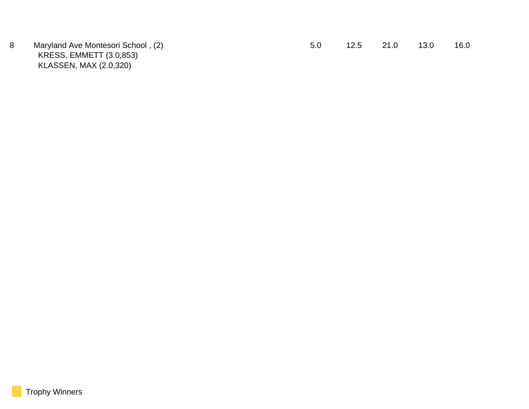KRESS, EMMETT (3.0,853) KLASSEN, MAX (2.0,320)

|  |  | Maryland Ave Montesori School, (2) |  | 12.5 | 21.0 | 13.0 | 16.0 |
|--|--|------------------------------------|--|------|------|------|------|
|--|--|------------------------------------|--|------|------|------|------|